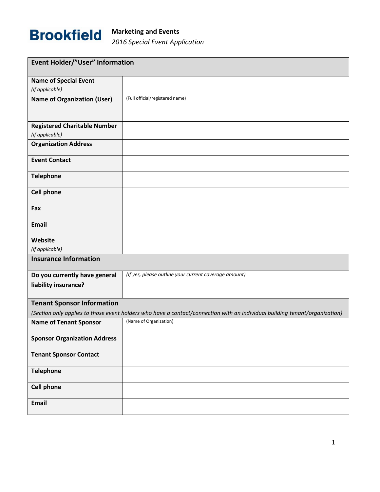

| Event Holder/"User" Information                                                                                             |                                                       |  |
|-----------------------------------------------------------------------------------------------------------------------------|-------------------------------------------------------|--|
| <b>Name of Special Event</b>                                                                                                |                                                       |  |
| (if applicable)                                                                                                             |                                                       |  |
| <b>Name of Organization (User)</b>                                                                                          | (Full official/registered name)                       |  |
|                                                                                                                             |                                                       |  |
|                                                                                                                             |                                                       |  |
| <b>Registered Charitable Number</b>                                                                                         |                                                       |  |
| (if applicable)                                                                                                             |                                                       |  |
| <b>Organization Address</b>                                                                                                 |                                                       |  |
| <b>Event Contact</b>                                                                                                        |                                                       |  |
| <b>Telephone</b>                                                                                                            |                                                       |  |
| <b>Cell phone</b>                                                                                                           |                                                       |  |
| Fax                                                                                                                         |                                                       |  |
| <b>Email</b>                                                                                                                |                                                       |  |
| Website                                                                                                                     |                                                       |  |
| (if applicable)                                                                                                             |                                                       |  |
| <b>Insurance Information</b>                                                                                                |                                                       |  |
| Do you currently have general                                                                                               | (If yes, please outline your current coverage amount) |  |
| liability insurance?                                                                                                        |                                                       |  |
| <b>Tenant Sponsor Information</b>                                                                                           |                                                       |  |
| (Section only applies to those event holders who have a contact/connection with an individual building tenant/organization) |                                                       |  |
| <b>Name of Tenant Sponsor</b>                                                                                               | (Name of Organization)                                |  |
| <b>Sponsor Organization Address</b>                                                                                         |                                                       |  |
| <b>Tenant Sponsor Contact</b>                                                                                               |                                                       |  |
| <b>Telephone</b>                                                                                                            |                                                       |  |
| <b>Cell phone</b>                                                                                                           |                                                       |  |
| <b>Email</b>                                                                                                                |                                                       |  |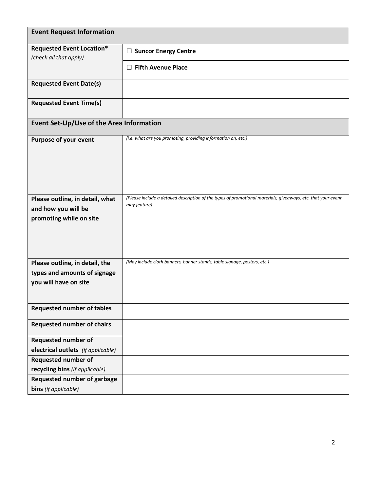| <b>Event Request Information</b>                           |                                                                                                                               |  |
|------------------------------------------------------------|-------------------------------------------------------------------------------------------------------------------------------|--|
| <b>Requested Event Location*</b><br>(check all that apply) | $\Box$ Suncor Energy Centre                                                                                                   |  |
|                                                            | $\Box$ Fifth Avenue Place                                                                                                     |  |
| <b>Requested Event Date(s)</b>                             |                                                                                                                               |  |
| <b>Requested Event Time(s)</b>                             |                                                                                                                               |  |
| Event Set-Up/Use of the Area Information                   |                                                                                                                               |  |
| Purpose of your event                                      | (i.e. what are you promoting, providing information on, etc.)                                                                 |  |
|                                                            |                                                                                                                               |  |
|                                                            |                                                                                                                               |  |
|                                                            |                                                                                                                               |  |
| Please outline, in detail, what                            | (Please include a detailed description of the types of promotional materials, giveaways, etc. that your event<br>may feature) |  |
| and how you will be<br>promoting while on site             |                                                                                                                               |  |
|                                                            |                                                                                                                               |  |
|                                                            |                                                                                                                               |  |
|                                                            |                                                                                                                               |  |
| Please outline, in detail, the                             | (May include cloth banners, banner stands, table signage, posters, etc.)                                                      |  |
| types and amounts of signage                               |                                                                                                                               |  |
| you will have on site                                      |                                                                                                                               |  |
|                                                            |                                                                                                                               |  |
| <b>Requested number of tables</b>                          |                                                                                                                               |  |
| <b>Requested number of chairs</b>                          |                                                                                                                               |  |
| <b>Requested number of</b>                                 |                                                                                                                               |  |
| electrical outlets (if applicable)                         |                                                                                                                               |  |
| Requested number of                                        |                                                                                                                               |  |
| recycling bins (if applicable)                             |                                                                                                                               |  |
| <b>Requested number of garbage</b>                         |                                                                                                                               |  |
| bins (if applicable)                                       |                                                                                                                               |  |